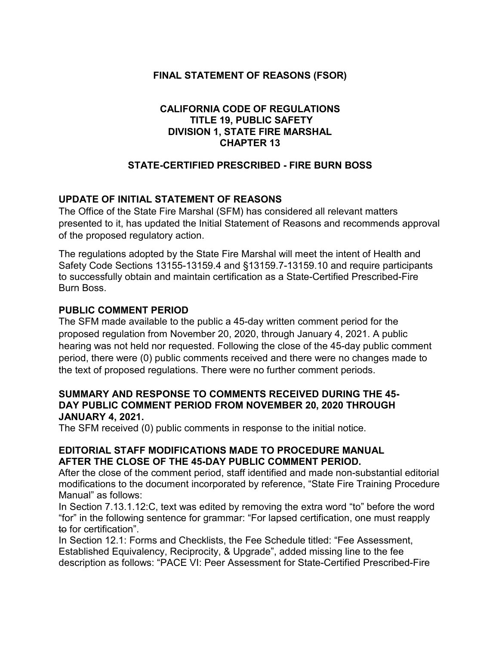## **FINAL STATEMENT OF REASONS (FSOR)**

## **CALIFORNIA CODE OF REGULATIONS TITLE 19, PUBLIC SAFETY DIVISION 1, STATE FIRE MARSHAL CHAPTER 13**

## **STATE-CERTIFIED PRESCRIBED - FIRE BURN BOSS**

## **UPDATE OF INITIAL STATEMENT OF REASONS**

The Office of the State Fire Marshal (SFM) has considered all relevant matters presented to it, has updated the Initial Statement of Reasons and recommends approval of the proposed regulatory action.

The regulations adopted by the State Fire Marshal will meet the intent of Health and Safety Code Sections 13155-13159.4 and §13159.7-13159.10 and require participants to successfully obtain and maintain certification as a State-Certified Prescribed-Fire Burn Boss.

#### **PUBLIC COMMENT PERIOD**

The SFM made available to the public a 45-day written comment period for the proposed regulation from November 20, 2020, through January 4, 2021. A public hearing was not held nor requested. Following the close of the 45-day public comment period, there were (0) public comments received and there were no changes made to the text of proposed regulations. There were no further comment periods.

#### **SUMMARY AND RESPONSE TO COMMENTS RECEIVED DURING THE 45- DAY PUBLIC COMMENT PERIOD FROM NOVEMBER 20, 2020 THROUGH JANUARY 4, 2021.**

The SFM received (0) public comments in response to the initial notice.

#### **EDITORIAL STAFF MODIFICATIONS MADE TO PROCEDURE MANUAL AFTER THE CLOSE OF THE 45-DAY PUBLIC COMMENT PERIOD.**

After the close of the comment period, staff identified and made non-substantial editorial modifications to the document incorporated by reference, "State Fire Training Procedure Manual" as follows:

In Section 7.13.1.12:C, text was edited by removing the extra word "to" before the word "for" in the following sentence for grammar: "For lapsed certification, one must reapply to for certification".

In Section 12.1: Forms and Checklists, the Fee Schedule titled: "Fee Assessment, Established Equivalency, Reciprocity, & Upgrade", added missing line to the fee description as follows: "PACE VI: Peer Assessment for State-Certified Prescribed-Fire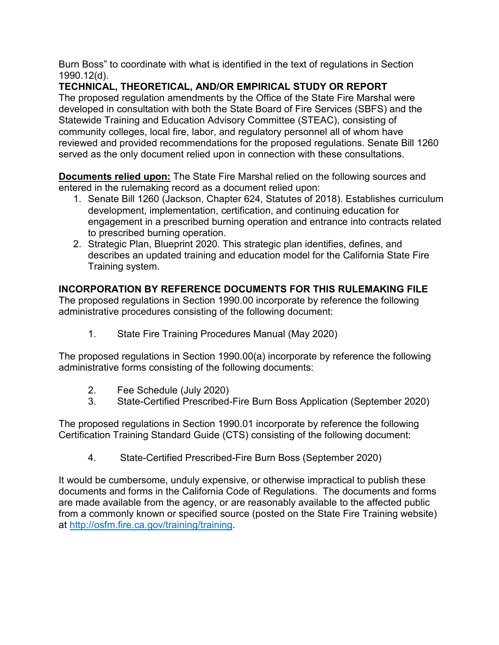Burn Boss" to coordinate with what is identified in the text of regulations in Section 1990.12(d).

# **TECHNICAL, THEORETICAL, AND/OR EMPIRICAL STUDY OR REPORT**

The proposed regulation amendments by the Office of the State Fire Marshal were developed in consultation with both the State Board of Fire Services (SBFS) and the Statewide Training and Education Advisory Committee (STEAC), consisting of community colleges, local fire, labor, and regulatory personnel all of whom have reviewed and provided recommendations for the proposed regulations. Senate Bill 1260 served as the only document relied upon in connection with these consultations.

**Documents relied upon:** The State Fire Marshal relied on the following sources and entered in the rulemaking record as a document relied upon:

- 1. Senate Bill 1260 (Jackson, Chapter 624, Statutes of 2018). Establishes curriculum development, implementation, certification, and continuing education for engagement in a prescribed burning operation and entrance into contracts related to prescribed burning operation.
- 2. Strategic Plan, Blueprint 2020. This strategic plan identifies, defines, and describes an updated training and education model for the California State Fire Training system.

## **INCORPORATION BY REFERENCE DOCUMENTS FOR THIS RULEMAKING FILE**

The proposed regulations in Section 1990.00 incorporate by reference the following administrative procedures consisting of the following document:

1. State Fire Training Procedures Manual (May 2020)

The proposed regulations in Section 1990.00(a) incorporate by reference the following administrative forms consisting of the following documents:

- 2. Fee Schedule (July 2020)
- 3. State-Certified Prescribed-Fire Burn Boss Application (September 2020)

The proposed regulations in Section 1990.01 incorporate by reference the following Certification Training Standard Guide (CTS) consisting of the following document:

4. State-Certified Prescribed-Fire Burn Boss (September 2020)

It would be cumbersome, unduly expensive, or otherwise impractical to publish these documents and forms in the California Code of Regulations. The documents and forms are made available from the agency, or are reasonably available to the affected public from a commonly known or specified source (posted on the State Fire Training website) at [http://osfm.fire.ca.gov/training/training.](http://osfm.fire.ca.gov/training/training)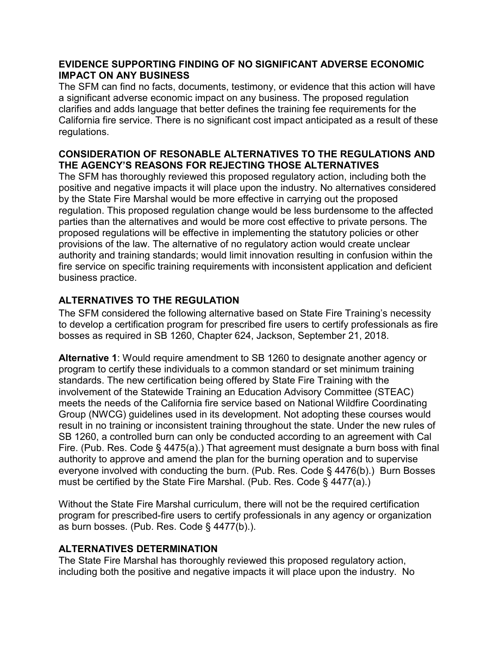### **EVIDENCE SUPPORTING FINDING OF NO SIGNIFICANT ADVERSE ECONOMIC IMPACT ON ANY BUSINESS**

The SFM can find no facts, documents, testimony, or evidence that this action will have a significant adverse economic impact on any business. The proposed regulation clarifies and adds language that better defines the training fee requirements for the California fire service. There is no significant cost impact anticipated as a result of these regulations.

## **CONSIDERATION OF RESONABLE ALTERNATIVES TO THE REGULATIONS AND THE AGENCY'S REASONS FOR REJECTING THOSE ALTERNATIVES**

The SFM has thoroughly reviewed this proposed regulatory action, including both the positive and negative impacts it will place upon the industry. No alternatives considered by the State Fire Marshal would be more effective in carrying out the proposed regulation. This proposed regulation change would be less burdensome to the affected parties than the alternatives and would be more cost effective to private persons. The proposed regulations will be effective in implementing the statutory policies or other provisions of the law. The alternative of no regulatory action would create unclear authority and training standards; would limit innovation resulting in confusion within the fire service on specific training requirements with inconsistent application and deficient business practice.

## **ALTERNATIVES TO THE REGULATION**

The SFM considered the following alternative based on State Fire Training's necessity to develop a certification program for prescribed fire users to certify professionals as fire bosses as required in SB 1260, Chapter 624, Jackson, September 21, 2018.

**Alternative 1**: Would require amendment to SB 1260 to designate another agency or program to certify these individuals to a common standard or set minimum training standards. The new certification being offered by State Fire Training with the involvement of the Statewide Training an Education Advisory Committee (STEAC) meets the needs of the California fire service based on National Wildfire Coordinating Group (NWCG) guidelines used in its development. Not adopting these courses would result in no training or inconsistent training throughout the state. Under the new rules of SB 1260, a controlled burn can only be conducted according to an agreement with Cal Fire. (Pub. Res. Code § 4475(a).) That agreement must designate a burn boss with final authority to approve and amend the plan for the burning operation and to supervise everyone involved with conducting the burn. (Pub. Res. Code § 4476(b).) Burn Bosses must be certified by the State Fire Marshal. (Pub. Res. Code § 4477(a).)

Without the State Fire Marshal curriculum, there will not be the required certification program for prescribed-fire users to certify professionals in any agency or organization as burn bosses. (Pub. Res. Code § 4477(b).).

## **ALTERNATIVES DETERMINATION**

The State Fire Marshal has thoroughly reviewed this proposed regulatory action, including both the positive and negative impacts it will place upon the industry. No